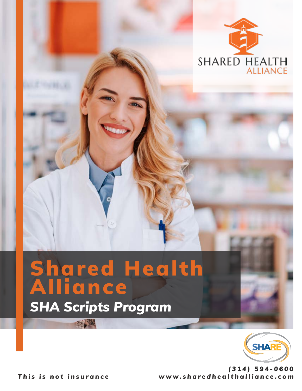

## *SHA Scripts Program* Shared Health Alliance



*www.sharedhealthalliance.com (314) 594-0600*

*This is not insurance*

**17 MM**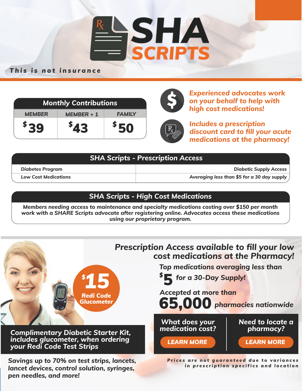

#### *This is not insurance*

| <b>Monthly Contributions</b> |              |               |
|------------------------------|--------------|---------------|
| <b>MEMBER</b>                | $MEMBER + 1$ | <b>FAMILY</b> |
| <sup>&gt;</sup> 39           | 543          | \$50          |



*Experienced advocates work on your behalf to help with high cost medications!*

*Includes a prescription discount card to fill your acute medications at the pharmacy!*

| $\mid$ SHA Scripts - Prescription Access |                                             |  |
|------------------------------------------|---------------------------------------------|--|
| <b>Diabetes Program</b>                  | <b>Diabetic Supply Access</b>               |  |
| <b>Low Cost Medications</b>              | Averaging less than \$5 for a 30 day supply |  |

#### *SHA Scripts - High Cost Medications*

*Members needing access to maintenance and specialty medications costing over \$150 per month work with a SHARE Scripts advocate after registering online. Advocates access these medications using our proprietary program.*

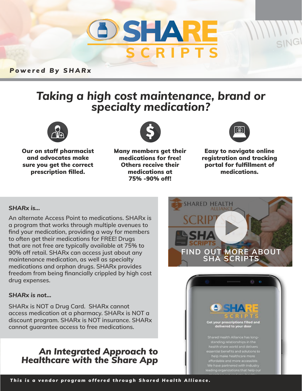

*Powered By SHARx*

# *Taking a high cost maintenance, brand or specialty medication?*



Our on staff pharmacist and advocates make sure you get the correct prescription filled.



Many members get their medications for free! Others receive their medications at 75% -90% off!



Easy to navigate online registration and tracking portal for fulfillment of medications.

#### *SHARx is...*

**An alternate Access Point to medications. SHARx is a program that works through multiple avenues to find your medication, providing a way for members to often get their medications for FREE! Drugs that are not free are typically available at 75% to 90% off retail. SHARx can access just about any maintenance medication, as well as specialty medications and orphan drugs. SHARx provides freedom from being financially crippled by high cost drug expenses.** 

#### *SHARx is not...*

**SHARx is NOT a Drug Card. SHARx cannot access medication at a pharmacy. SHARx is NOT a discount program. SHARx is NOT insurance. SHARx cannot guarantee access to free medications.**

### *An Integrated Approach to Healthcare with the Share App*



**Get your prescriptions filled and** delivered to your door

nearth share world and delivers<br>ssential benefits and solutions to